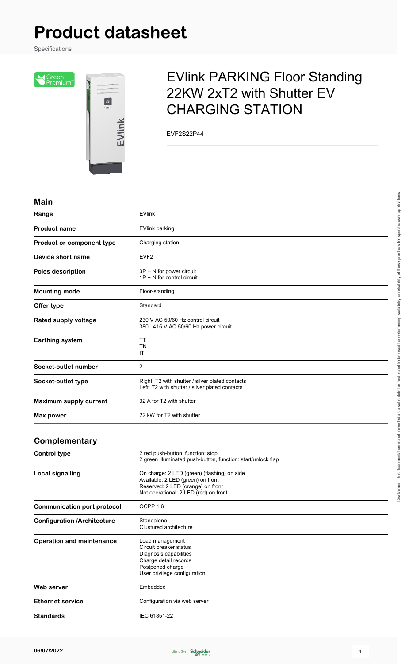# **Product datasheet**

Specifications

Sereen<br>Premium<sup>®</sup>



# EVlink PARKING Floor Standing 22KW 2xT2 with Shutter EV CHARGING STATION

EVF2S22P44

#### **Main**

| Range                              | <b>EVlink</b>                                                                                                                                                  |
|------------------------------------|----------------------------------------------------------------------------------------------------------------------------------------------------------------|
| <b>Product name</b>                | <b>EVlink parking</b>                                                                                                                                          |
| Product or component type          | Charging station                                                                                                                                               |
| Device short name                  | EVF <sub>2</sub>                                                                                                                                               |
| Poles description                  | 3P + N for power circuit<br>$1P + N$ for control circuit                                                                                                       |
| <b>Mounting mode</b>               | Floor-standing                                                                                                                                                 |
| Offer type                         | Standard                                                                                                                                                       |
| Rated supply voltage               | 230 V AC 50/60 Hz control circuit<br>380415 V AC 50/60 Hz power circuit                                                                                        |
| <b>Earthing system</b>             | TT<br>ΤN<br>IT                                                                                                                                                 |
| Socket-outlet number               | $\overline{2}$                                                                                                                                                 |
| Socket-outlet type                 | Right: T2 with shutter / silver plated contacts<br>Left: T2 with shutter / silver plated contacts                                                              |
| Maximum supply current             | 32 A for T2 with shutter                                                                                                                                       |
| Max power                          | 22 kW for T2 with shutter                                                                                                                                      |
| Complementary                      |                                                                                                                                                                |
| <b>Control type</b>                | 2 red push-button, function: stop<br>2 green illuminated push-button, function: start/unlock flap                                                              |
| <b>Local signalling</b>            | On charge: 2 LED (green) (flashing) on side<br>Available: 2 LED (green) on front<br>Reserved: 2 LED (orange) on front<br>Not operational: 2 LED (red) on front |
| <b>Communication port protocol</b> | OCPP 1.6                                                                                                                                                       |
| <b>Configuration /Architecture</b> | Standalone<br>Clustured architecture                                                                                                                           |
| <b>Operation and maintenance</b>   | Load management<br>Circuit breaker status<br>Diagnosis capabilities<br>Charge detail records<br>Postponed charge<br>User privilege configuration               |
| Web server                         | Embedded                                                                                                                                                       |
| <b>Ethernet service</b>            | Configuration via web server                                                                                                                                   |

**Standards** IEC 61851-22